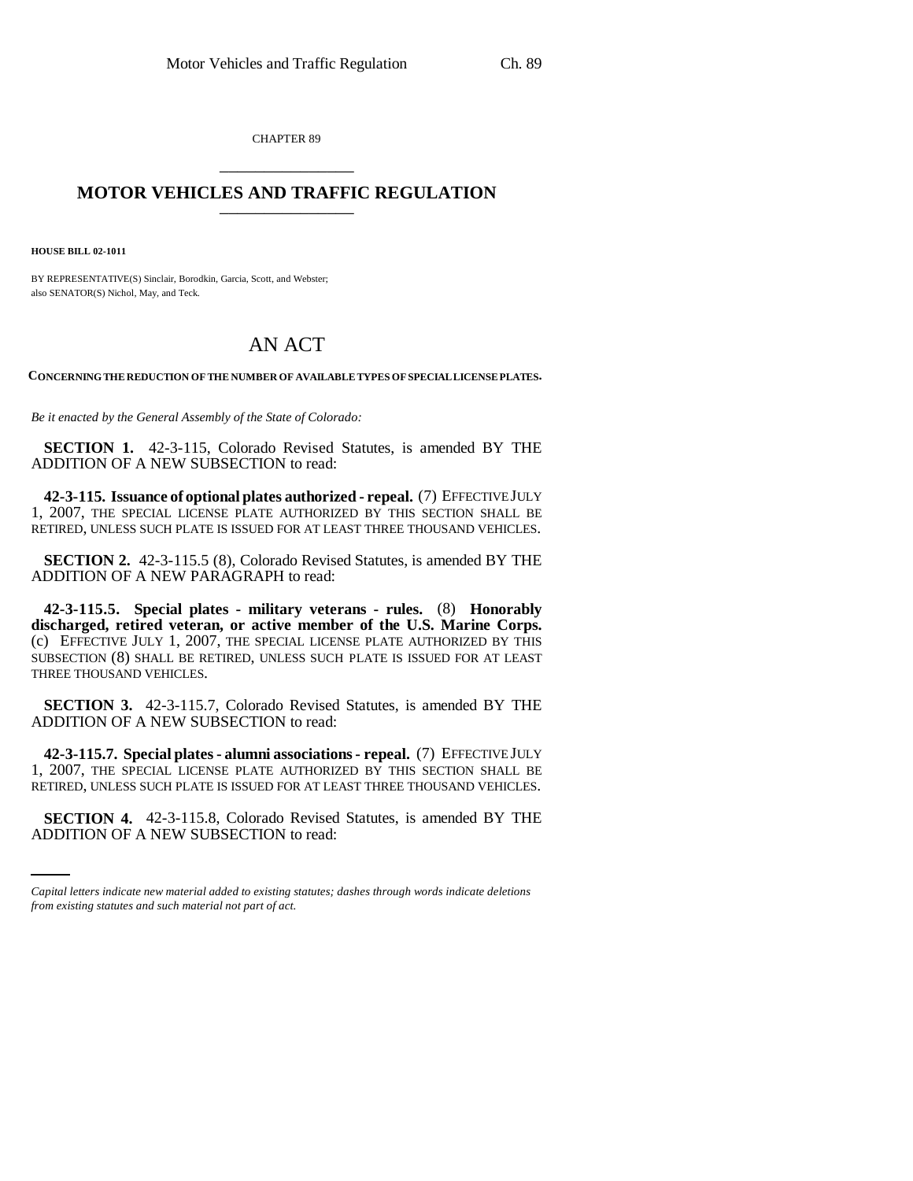CHAPTER 89 \_\_\_\_\_\_\_\_\_\_\_\_\_\_\_

## **MOTOR VEHICLES AND TRAFFIC REGULATION**

**HOUSE BILL 02-1011**

BY REPRESENTATIVE(S) Sinclair, Borodkin, Garcia, Scott, and Webster; also SENATOR(S) Nichol, May, and Teck.

## AN ACT

**CONCERNING THE REDUCTION OF THE NUMBER OF AVAILABLE TYPES OF SPECIAL LICENSE PLATES.**

*Be it enacted by the General Assembly of the State of Colorado:*

**SECTION 1.** 42-3-115, Colorado Revised Statutes, is amended BY THE ADDITION OF A NEW SUBSECTION to read:

**42-3-115. Issuance of optional plates authorized - repeal.** (7) EFFECTIVE JULY 1, 2007, THE SPECIAL LICENSE PLATE AUTHORIZED BY THIS SECTION SHALL BE RETIRED, UNLESS SUCH PLATE IS ISSUED FOR AT LEAST THREE THOUSAND VEHICLES.

**SECTION 2.** 42-3-115.5 (8), Colorado Revised Statutes, is amended BY THE ADDITION OF A NEW PARAGRAPH to read:

**42-3-115.5. Special plates - military veterans - rules.** (8) **Honorably discharged, retired veteran, or active member of the U.S. Marine Corps.** (c) EFFECTIVE JULY 1, 2007, THE SPECIAL LICENSE PLATE AUTHORIZED BY THIS SUBSECTION (8) SHALL BE RETIRED, UNLESS SUCH PLATE IS ISSUED FOR AT LEAST THREE THOUSAND VEHICLES.

**SECTION 3.** 42-3-115.7, Colorado Revised Statutes, is amended BY THE ADDITION OF A NEW SUBSECTION to read:

RETIRED, UNLESS SUCH PLATE IS ISSUED FOR AT LEAST THREE THOUSAND VEHICLES. **42-3-115.7. Special plates - alumni associations - repeal.** (7) EFFECTIVE JULY 1, 2007, THE SPECIAL LICENSE PLATE AUTHORIZED BY THIS SECTION SHALL BE

**SECTION 4.** 42-3-115.8, Colorado Revised Statutes, is amended BY THE ADDITION OF A NEW SUBSECTION to read:

*Capital letters indicate new material added to existing statutes; dashes through words indicate deletions from existing statutes and such material not part of act.*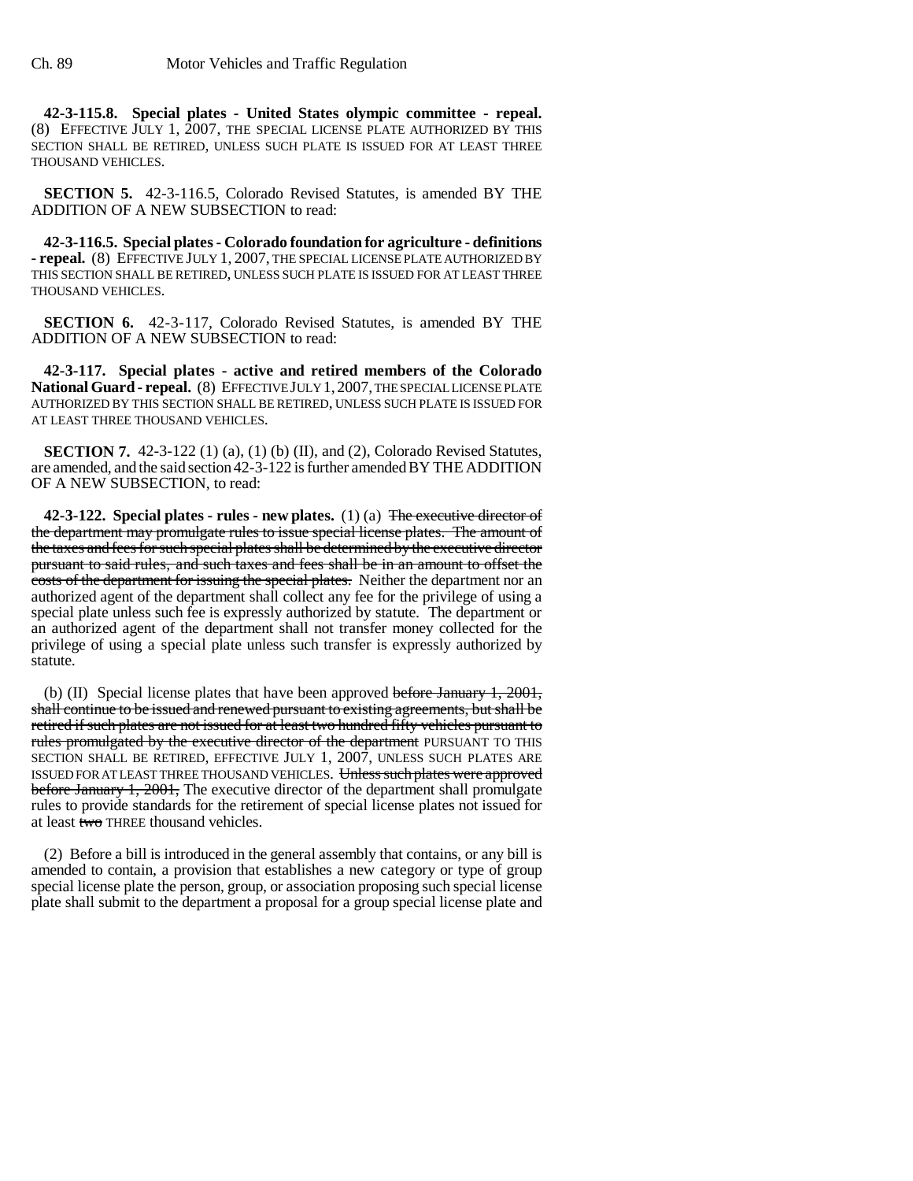**42-3-115.8. Special plates - United States olympic committee - repeal.** (8) EFFECTIVE JULY 1, 2007, THE SPECIAL LICENSE PLATE AUTHORIZED BY THIS SECTION SHALL BE RETIRED, UNLESS SUCH PLATE IS ISSUED FOR AT LEAST THREE THOUSAND VEHICLES.

**SECTION 5.** 42-3-116.5, Colorado Revised Statutes, is amended BY THE ADDITION OF A NEW SUBSECTION to read:

**42-3-116.5. Special plates - Colorado foundation for agriculture - definitions - repeal.** (8) EFFECTIVE JULY 1, 2007, THE SPECIAL LICENSE PLATE AUTHORIZED BY THIS SECTION SHALL BE RETIRED, UNLESS SUCH PLATE IS ISSUED FOR AT LEAST THREE THOUSAND VEHICLES.

**SECTION 6.** 42-3-117, Colorado Revised Statutes, is amended BY THE ADDITION OF A NEW SUBSECTION to read:

**42-3-117. Special plates - active and retired members of the Colorado** National Guard - repeal. (8) EFFECTIVE JULY 1, 2007, THE SPECIAL LICENSE PLATE AUTHORIZED BY THIS SECTION SHALL BE RETIRED, UNLESS SUCH PLATE IS ISSUED FOR AT LEAST THREE THOUSAND VEHICLES.

**SECTION 7.** 42-3-122 (1) (a), (1) (b) (II), and (2), Colorado Revised Statutes, are amended, and the said section 42-3-122 is further amended BY THE ADDITION OF A NEW SUBSECTION, to read:

**42-3-122. Special plates - rules - new plates.** (1) (a) The executive director of the department may promulgate rules to issue special license plates. The amount of the taxes and fees for such special plates shall be determined by the executive director pursuant to said rules, and such taxes and fees shall be in an amount to offset the costs of the department for issuing the special plates. Neither the department nor an authorized agent of the department shall collect any fee for the privilege of using a special plate unless such fee is expressly authorized by statute. The department or an authorized agent of the department shall not transfer money collected for the privilege of using a special plate unless such transfer is expressly authorized by statute.

(b) (II) Special license plates that have been approved before January 1, 2001, shall continue to be issued and renewed pursuant to existing agreements, but shall be retired if such plates are not issued for at least two hundred fifty vehicles pursuant to rules promulgated by the executive director of the department PURSUANT TO THIS SECTION SHALL BE RETIRED, EFFECTIVE JULY 1, 2007, UNLESS SUCH PLATES ARE ISSUED FOR AT LEAST THREE THOUSAND VEHICLES. Unless such plates were approved before January 1, 2001, The executive director of the department shall promulgate rules to provide standards for the retirement of special license plates not issued for at least two THREE thousand vehicles.

(2) Before a bill is introduced in the general assembly that contains, or any bill is amended to contain, a provision that establishes a new category or type of group special license plate the person, group, or association proposing such special license plate shall submit to the department a proposal for a group special license plate and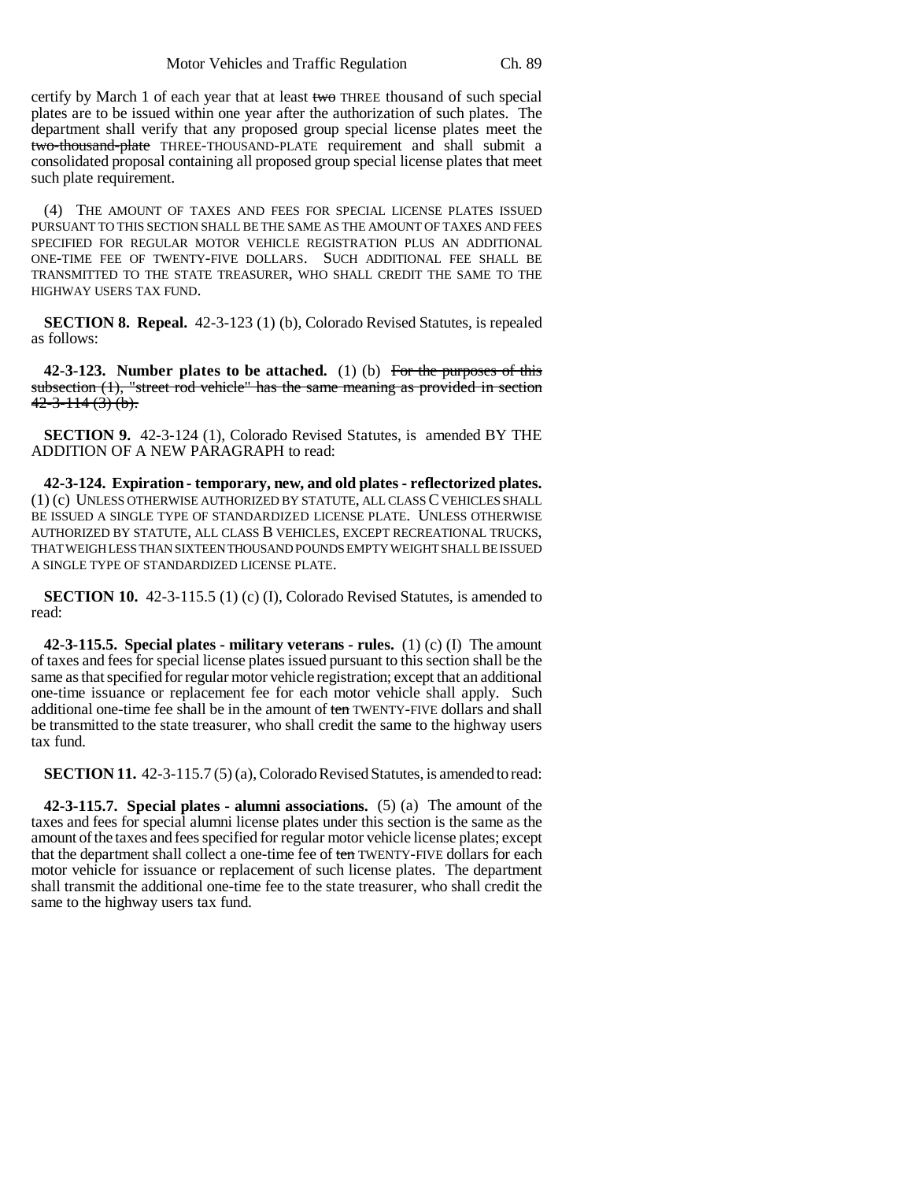certify by March 1 of each year that at least two THREE thousand of such special plates are to be issued within one year after the authorization of such plates. The department shall verify that any proposed group special license plates meet the two-thousand-plate THREE-THOUSAND-PLATE requirement and shall submit a consolidated proposal containing all proposed group special license plates that meet such plate requirement.

(4) THE AMOUNT OF TAXES AND FEES FOR SPECIAL LICENSE PLATES ISSUED PURSUANT TO THIS SECTION SHALL BE THE SAME AS THE AMOUNT OF TAXES AND FEES SPECIFIED FOR REGULAR MOTOR VEHICLE REGISTRATION PLUS AN ADDITIONAL ONE-TIME FEE OF TWENTY-FIVE DOLLARS. SUCH ADDITIONAL FEE SHALL BE TRANSMITTED TO THE STATE TREASURER, WHO SHALL CREDIT THE SAME TO THE HIGHWAY USERS TAX FUND.

**SECTION 8. Repeal.** 42-3-123 (1) (b), Colorado Revised Statutes, is repealed as follows:

**42-3-123. Number plates to be attached.** (1) (b) For the purposes of this subsection (1), "street rod vehicle" has the same meaning as provided in section  $42 - 3 - 114$  (3) (b).

**SECTION 9.** 42-3-124 (1), Colorado Revised Statutes, is amended BY THE ADDITION OF A NEW PARAGRAPH to read:

**42-3-124. Expiration - temporary, new, and old plates - reflectorized plates.** (1) (c) UNLESS OTHERWISE AUTHORIZED BY STATUTE, ALL CLASS C VEHICLES SHALL BE ISSUED A SINGLE TYPE OF STANDARDIZED LICENSE PLATE. UNLESS OTHERWISE AUTHORIZED BY STATUTE, ALL CLASS B VEHICLES, EXCEPT RECREATIONAL TRUCKS, THAT WEIGH LESS THAN SIXTEEN THOUSAND POUNDS EMPTY WEIGHT SHALL BE ISSUED A SINGLE TYPE OF STANDARDIZED LICENSE PLATE.

**SECTION 10.** 42-3-115.5 (1) (c) (I), Colorado Revised Statutes, is amended to read:

**42-3-115.5. Special plates - military veterans - rules.** (1) (c) (I) The amount of taxes and fees for special license plates issued pursuant to this section shall be the same as that specified for regular motor vehicle registration; except that an additional one-time issuance or replacement fee for each motor vehicle shall apply. Such additional one-time fee shall be in the amount of ten TWENTY-FIVE dollars and shall be transmitted to the state treasurer, who shall credit the same to the highway users tax fund.

**SECTION 11.** 42-3-115.7 (5) (a), Colorado Revised Statutes, is amended to read:

**42-3-115.7. Special plates - alumni associations.** (5) (a) The amount of the taxes and fees for special alumni license plates under this section is the same as the amount of the taxes and fees specified for regular motor vehicle license plates; except that the department shall collect a one-time fee of ten TWENTY-FIVE dollars for each motor vehicle for issuance or replacement of such license plates. The department shall transmit the additional one-time fee to the state treasurer, who shall credit the same to the highway users tax fund.